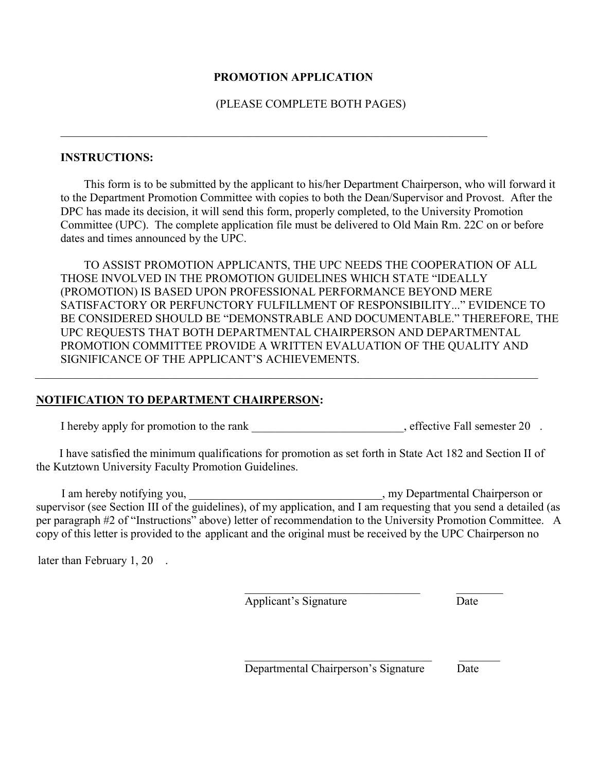#### **PROMOTION APPLICATION**

 $\mathcal{L}_\text{max}$  and  $\mathcal{L}_\text{max}$  and  $\mathcal{L}_\text{max}$  and  $\mathcal{L}_\text{max}$  and  $\mathcal{L}_\text{max}$  and  $\mathcal{L}_\text{max}$ 

(PLEASE COMPLETE BOTH PAGES)

#### **INSTRUCTIONS:**

This form is to be submitted by the applicant to his/her Department Chairperson, who will forward it to the Department Promotion Committee with copies to both the Dean/Supervisor and Provost. After the DPC has made its decision, it will send this form, properly completed, to the University Promotion Committee (UPC). The complete application file must be delivered to Old Main Rm. 22C on or before dates and times announced by the UPC.

TO ASSIST PROMOTION APPLICANTS, THE UPC NEEDS THE COOPERATION OF ALL THOSE INVOLVED IN THE PROMOTION GUIDELINES WHICH STATE "IDEALLY (PROMOTION) IS BASED UPON PROFESSIONAL PERFORMANCE BEYOND MERE SATISFACTORY OR PERFUNCTORY FULFILLMENT OF RESPONSIBILITY..." EVIDENCE TO BE CONSIDERED SHOULD BE "DEMONSTRABLE AND DOCUMENTABLE." THEREFORE, THE UPC REQUESTS THAT BOTH DEPARTMENTAL CHAIRPERSON AND DEPARTMENTAL PROMOTION COMMITTEE PROVIDE A WRITTEN EVALUATION OF THE QUALITY AND SIGNIFICANCE OF THE APPLICANT'S ACHIEVEMENTS.

### **NOTIFICATION TO DEPARTMENT CHAIRPERSON:**

I hereby apply for promotion to the rank effective Fall semester 20 .

 I have satisfied the minimum qualifications for promotion as set forth in State Act 182 and Section II of the Kutztown University Faculty Promotion Guidelines.

 $\mathcal{L}_\mathcal{L} = \{ \mathcal{L}_\mathcal{L} = \{ \mathcal{L}_\mathcal{L} = \{ \mathcal{L}_\mathcal{L} = \{ \mathcal{L}_\mathcal{L} = \{ \mathcal{L}_\mathcal{L} = \{ \mathcal{L}_\mathcal{L} = \{ \mathcal{L}_\mathcal{L} = \{ \mathcal{L}_\mathcal{L} = \{ \mathcal{L}_\mathcal{L} = \{ \mathcal{L}_\mathcal{L} = \{ \mathcal{L}_\mathcal{L} = \{ \mathcal{L}_\mathcal{L} = \{ \mathcal{L}_\mathcal{L} = \{ \mathcal{L}_\mathcal{$ 

I am hereby notifying you, \_\_\_\_\_\_\_\_\_\_\_\_\_\_\_\_\_\_\_\_\_\_\_\_\_\_\_\_\_\_\_\_\_, my Departmental Chairperson or supervisor (see Section III of the guidelines), of my application, and I am requesting that you send a detailed (as per paragraph #2 of "Instructions" above) letter of recommendation to the University Promotion Committee. A copy of this letter is provided to the applicant and the original must be received by the UPC Chairperson no

later than February 1, 20.

Applicant's Signature Date

Departmental Chairperson's Signature Date

\_\_\_\_\_\_\_\_\_\_\_\_\_\_\_\_\_\_\_\_\_\_\_\_\_\_\_\_\_\_ \_\_\_\_\_\_\_\_

\_\_\_\_\_\_\_\_\_\_\_\_\_\_\_\_\_\_\_\_\_\_\_\_\_\_\_\_\_\_\_\_ \_\_\_\_\_\_\_